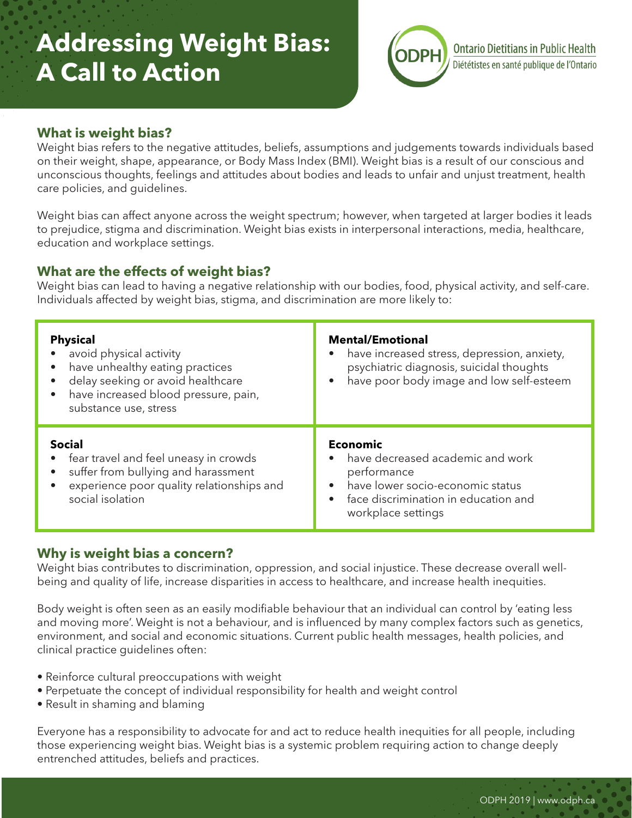# **Addressing Weight Bias: A Call to Action**



# **What is weight bias?**

Weight bias refers to the negative attitudes, beliefs, assumptions and judgements towards individuals based on their weight, shape, appearance, or Body Mass Index (BMI). Weight bias is a result of our conscious and unconscious thoughts, feelings and attitudes about bodies and leads to unfair and unjust treatment, health care policies, and guidelines.

Weight bias can affect anyone across the weight spectrum; however, when targeted at larger bodies it leads to prejudice, stigma and discrimination. Weight bias exists in interpersonal interactions, media, healthcare, education and workplace settings.

## **What are the effects of weight bias?**

Weight bias can lead to having a negative relationship with our bodies, food, physical activity, and self-care. Individuals affected by weight bias, stigma, and discrimination are more likely to:

| <b>Physical</b><br>avoid physical activity<br>have unhealthy eating practices<br>$\bullet$<br>delay seeking or avoid healthcare<br>have increased blood pressure, pain,<br>$\bullet$<br>substance use, stress | <b>Mental/Emotional</b><br>have increased stress, depression, anxiety,<br>psychiatric diagnosis, suicidal thoughts<br>have poor body image and low self-esteem                                 |
|---------------------------------------------------------------------------------------------------------------------------------------------------------------------------------------------------------------|------------------------------------------------------------------------------------------------------------------------------------------------------------------------------------------------|
| <b>Social</b><br>fear travel and feel uneasy in crowds<br>suffer from bullying and harassment<br>experience poor quality relationships and<br>social isolation                                                | <b>Economic</b><br>have decreased academic and work<br>$\bullet$<br>performance<br>have lower socio-economic status<br>$\bullet$<br>face discrimination in education and<br>workplace settings |

## **Why is weight bias a concern?**

Weight bias contributes to discrimination, oppression, and social injustice. These decrease overall wellbeing and quality of life, increase disparities in access to healthcare, and increase health inequities.

Body weight is often seen as an easily modifiable behaviour that an individual can control by 'eating less and moving more'. Weight is not a behaviour, and is influenced by many complex factors such as genetics, environment, and social and economic situations. Current public health messages, health policies, and clinical practice guidelines often:

- Reinforce cultural preoccupations with weight
- Perpetuate the concept of individual responsibility for health and weight control
- Result in shaming and blaming

Everyone has a responsibility to advocate for and act to reduce health inequities for all people, including those experiencing weight bias. Weight bias is a systemic problem requiring action to change deeply entrenched attitudes, beliefs and practices.